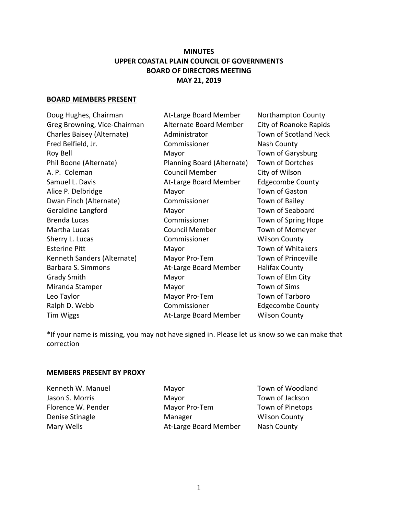# **MINUTES UPPER COASTAL PLAIN COUNCIL OF GOVERNMENTS BOARD OF DIRECTORS MEETING MAY 21, 2019**

### **BOARD MEMBERS PRESENT**

Doug Hughes, Chairman At-Large Board Member Northampton County Greg Browning, Vice-Chairman Alternate Board Member City of Roanoke Rapids Charles Baisey (Alternate) Administrator Town of Scotland Neck Fred Belfield, Jr. Commissioner Nash County Roy Bell **National Mayor** Mayor **National Mayor** Town of Garysburg Phil Boone (Alternate) Planning Board (Alternate) Town of Dortches A. P. Coleman Council Member City of Wilson Samuel L. Davis **At-Large Board Member** Edgecombe County Alice P. Delbridge The Mayor Town of Gaston Dwan Finch (Alternate) Commissioner Town of Bailey Geraldine Langford **Mayor** Mayor **Mayor** Town of Seaboard Brenda Lucas **Commissioner** Town of Spring Hope Martha Lucas Council Member Town of Momeyer Sherry L. Lucas Commissioner Wilson County Esterine Pitt **Mayor** Mayor Town of Whitakers Kenneth Sanders (Alternate) Mayor Pro-Tem Town of Princeville Barbara S. Simmons **At-Large Board Member** Halifax County Grady Smith Mayor Mayor Town of Elm City Miranda Stamper Mayor Town of Sims Leo Taylor **Mayor Pro-Tem** Town of Tarboro Ralph D. Webb **Commissioner** Edgecombe County Tim Wiggs **At-Large Board Member** Wilson County

\*If your name is missing, you may not have signed in. Please let us know so we can make that correction

### **MEMBERS PRESENT BY PROXY**

Kenneth W. Manuel **Mayor** Mayor **Manuel Mayor** Town of Woodland Jason S. Morris Mayor Town of Jackson Florence W. Pender Mayor Pro-Tem Town of Pinetops Denise Stinagle Manager Wilson County Mary Wells **At-Large Board Member** Nash County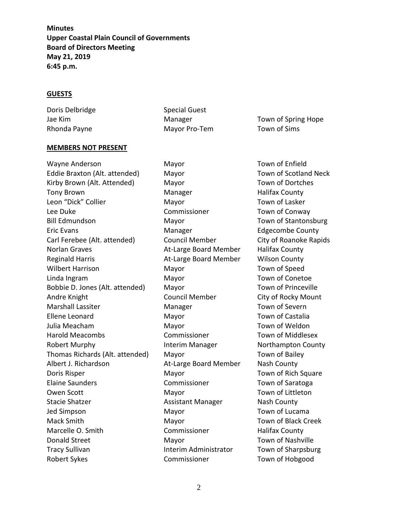#### **GUESTS**

Doris Delbridge Special Guest Rhonda Payne **Mayor Pro-Tem** Town of Sims

Jae Kim **Manager** Manager **Town of Spring Hope** Hope

#### **MEMBERS NOT PRESENT**

Wayne Anderson Mayor Mayor Town of Enfield Eddie Braxton (Alt. attended) Mayor Town of Scotland Neck Kirby Brown (Alt. Attended) Mayor Town of Dortches Tony Brown **Manager** Manager **Halifax County** Leon "Dick" Collier **Mayor** Mayor Town of Lasker Lee Duke Commissioner Commissioner Town of Conway Bill Edmundson Mayor Town of Stantonsburg Eric Evans Manager Edgecombe County Carl Ferebee (Alt. attended) Council Member City of Roanoke Rapids Norlan Graves **At-Large Board Member** Halifax County Reginald Harris **At-Large Board Member** Wilson County Wilbert Harrison **Mayor** Mayor **Town of Speed** Linda Ingram Mayor Mayor Town of Conetoe Bobbie D. Jones (Alt. attended) Mayor Town of Princeville Andre Knight **Council Member** City of Rocky Mount Marshall Lassiter Manager Town of Severn Ellene Leonard Mayor Town of Castalia Julia Meacham **Mayor** Mayor **Mayor** Town of Weldon Harold Meacombs **Commissioner** Commissioner Town of Middlesex Robert Murphy **Interim Manager** Northampton County Thomas Richards (Alt. attended) Mayor Town of Bailey Albert J. Richardson At-Large Board Member Nash County Doris Risper **Mayor** Mayor Town of Rich Square Elaine Saunders Commissioner Town of Saratoga Owen Scott **Mayor** Mayor Town of Littleton Stacie Shatzer **Assistant Manager** Assistant Manager Nash County Jed Simpson **Mayor** Mayor Town of Lucama Mack Smith Mayor Town of Black Creek Marcelle O. Smith **Commissioner** Halifax County Donald Street Mayor Mayor Town of Nashville Tracy Sullivan **Interim Administrator** Town of Sharpsburg Robert Sykes **Commissioner** Town of Hobgood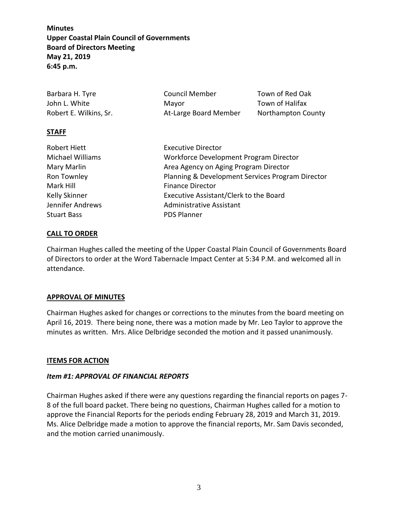| Barbara H. Tyre        | <b>Council Member</b> | Town of Red Oak    |
|------------------------|-----------------------|--------------------|
| John L. White          | Mavor                 | Town of Halifax    |
| Robert E. Wilkins, Sr. | At-Large Board Member | Northampton County |

## **STAFF**

| Robert Hiett            | <b>Executive Director</b>                        |  |
|-------------------------|--------------------------------------------------|--|
|                         |                                                  |  |
| <b>Michael Williams</b> | Workforce Development Program Director           |  |
| Mary Marlin             | Area Agency on Aging Program Director            |  |
| Ron Townley             | Planning & Development Services Program Director |  |
| Mark Hill               | <b>Finance Director</b>                          |  |
| Kelly Skinner           | Executive Assistant/Clerk to the Board           |  |
| Jennifer Andrews        | <b>Administrative Assistant</b>                  |  |
| <b>Stuart Bass</b>      | <b>PDS Planner</b>                               |  |
|                         |                                                  |  |

## **CALL TO ORDER**

Chairman Hughes called the meeting of the Upper Coastal Plain Council of Governments Board of Directors to order at the Word Tabernacle Impact Center at 5:34 P.M. and welcomed all in attendance.

### **APPROVAL OF MINUTES**

Chairman Hughes asked for changes or corrections to the minutes from the board meeting on April 16, 2019. There being none, there was a motion made by Mr. Leo Taylor to approve the minutes as written. Mrs. Alice Delbridge seconded the motion and it passed unanimously.

### **ITEMS FOR ACTION**

### *Item #1: APPROVAL OF FINANCIAL REPORTS*

Chairman Hughes asked if there were any questions regarding the financial reports on pages 7- 8 of the full board packet. There being no questions, Chairman Hughes called for a motion to approve the Financial Reports for the periods ending February 28, 2019 and March 31, 2019. Ms. Alice Delbridge made a motion to approve the financial reports, Mr. Sam Davis seconded, and the motion carried unanimously.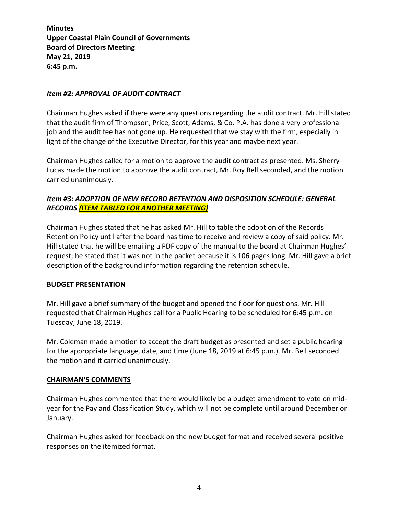### *Item #2: APPROVAL OF AUDIT CONTRACT*

Chairman Hughes asked if there were any questions regarding the audit contract. Mr. Hill stated that the audit firm of Thompson, Price, Scott, Adams, & Co. P.A. has done a very professional job and the audit fee has not gone up. He requested that we stay with the firm, especially in light of the change of the Executive Director, for this year and maybe next year.

Chairman Hughes called for a motion to approve the audit contract as presented. Ms. Sherry Lucas made the motion to approve the audit contract, Mr. Roy Bell seconded, and the motion carried unanimously.

# *Item #3: ADOPTION OF NEW RECORD RETENTION AND DISPOSITION SCHEDULE: GENERAL RECORDS (ITEM TABLED FOR ANOTHER MEETING)*

Chairman Hughes stated that he has asked Mr. Hill to table the adoption of the Records Retention Policy until after the board has time to receive and review a copy of said policy. Mr. Hill stated that he will be emailing a PDF copy of the manual to the board at Chairman Hughes' request; he stated that it was not in the packet because it is 106 pages long. Mr. Hill gave a brief description of the background information regarding the retention schedule.

### **BUDGET PRESENTATION**

Mr. Hill gave a brief summary of the budget and opened the floor for questions. Mr. Hill requested that Chairman Hughes call for a Public Hearing to be scheduled for 6:45 p.m. on Tuesday, June 18, 2019.

Mr. Coleman made a motion to accept the draft budget as presented and set a public hearing for the appropriate language, date, and time (June 18, 2019 at 6:45 p.m.). Mr. Bell seconded the motion and it carried unanimously.

### **CHAIRMAN'S COMMENTS**

Chairman Hughes commented that there would likely be a budget amendment to vote on midyear for the Pay and Classification Study, which will not be complete until around December or January.

Chairman Hughes asked for feedback on the new budget format and received several positive responses on the itemized format.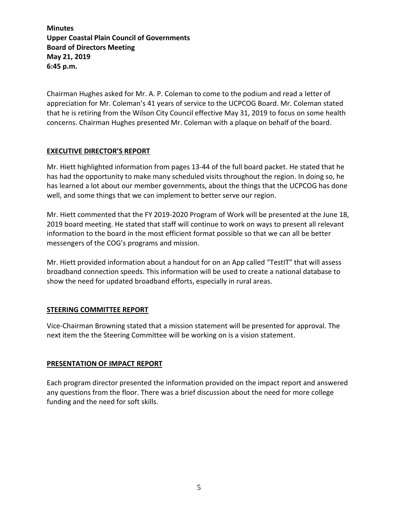Chairman Hughes asked for Mr. A. P. Coleman to come to the podium and read a letter of appreciation for Mr. Coleman's 41 years of service to the UCPCOG Board. Mr. Coleman stated that he is retiring from the Wilson City Council effective May 31, 2019 to focus on some health concerns. Chairman Hughes presented Mr. Coleman with a plaque on behalf of the board.

### **EXECUTIVE DIRECTOR'S REPORT**

Mr. Hiett highlighted information from pages 13-44 of the full board packet. He stated that he has had the opportunity to make many scheduled visits throughout the region. In doing so, he has learned a lot about our member governments, about the things that the UCPCOG has done well, and some things that we can implement to better serve our region.

Mr. Hiett commented that the FY 2019-2020 Program of Work will be presented at the June 18, 2019 board meeting. He stated that staff will continue to work on ways to present all relevant information to the board in the most efficient format possible so that we can all be better messengers of the COG's programs and mission.

Mr. Hiett provided information about a handout for on an App called "TestIT" that will assess broadband connection speeds. This information will be used to create a national database to show the need for updated broadband efforts, especially in rural areas.

## **STEERING COMMITTEE REPORT**

Vice-Chairman Browning stated that a mission statement will be presented for approval. The next item the the Steering Committee will be working on is a vision statement.

### **PRESENTATION OF IMPACT REPORT**

Each program director presented the information provided on the impact report and answered any questions from the floor. There was a brief discussion about the need for more college funding and the need for soft skills.